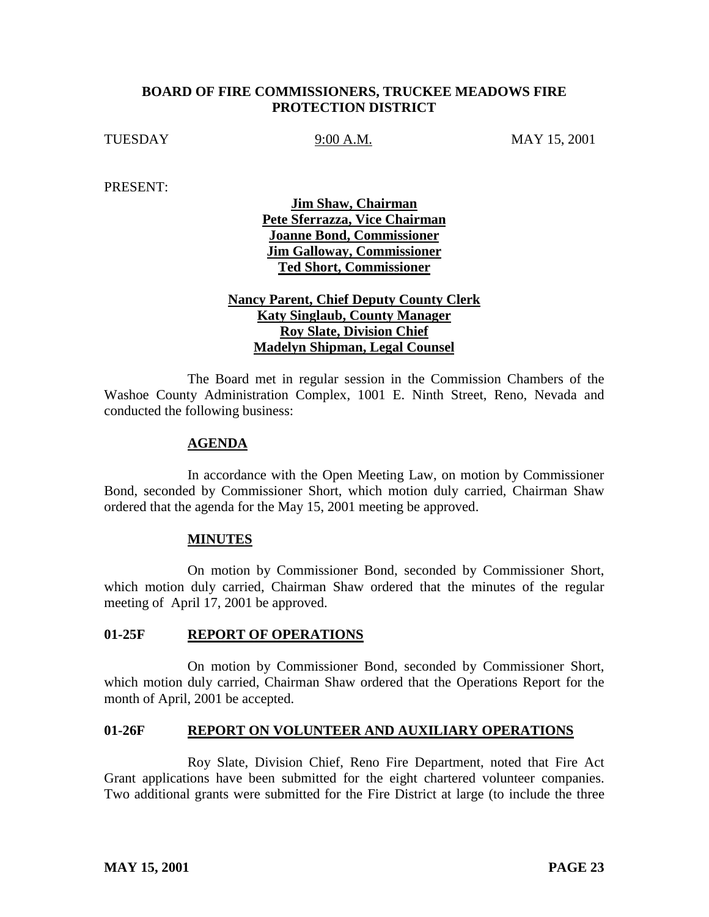### **BOARD OF FIRE COMMISSIONERS, TRUCKEE MEADOWS FIRE PROTECTION DISTRICT**

TUESDAY 9:00 A.M. MAY 15, 2001

PRESENT:

**Jim Shaw, Chairman Pete Sferrazza, Vice Chairman Joanne Bond, Commissioner Jim Galloway, Commissioner Ted Short, Commissioner**

# **Nancy Parent, Chief Deputy County Clerk Katy Singlaub, County Manager Roy Slate, Division Chief Madelyn Shipman, Legal Counsel**

The Board met in regular session in the Commission Chambers of the Washoe County Administration Complex, 1001 E. Ninth Street, Reno, Nevada and conducted the following business:

### **AGENDA**

In accordance with the Open Meeting Law, on motion by Commissioner Bond, seconded by Commissioner Short, which motion duly carried, Chairman Shaw ordered that the agenda for the May 15, 2001 meeting be approved.

### **MINUTES**

On motion by Commissioner Bond, seconded by Commissioner Short, which motion duly carried, Chairman Shaw ordered that the minutes of the regular meeting of April 17, 2001 be approved.

### **01-25F REPORT OF OPERATIONS**

On motion by Commissioner Bond, seconded by Commissioner Short, which motion duly carried, Chairman Shaw ordered that the Operations Report for the month of April, 2001 be accepted.

### **01-26F REPORT ON VOLUNTEER AND AUXILIARY OPERATIONS**

Roy Slate, Division Chief, Reno Fire Department, noted that Fire Act Grant applications have been submitted for the eight chartered volunteer companies. Two additional grants were submitted for the Fire District at large (to include the three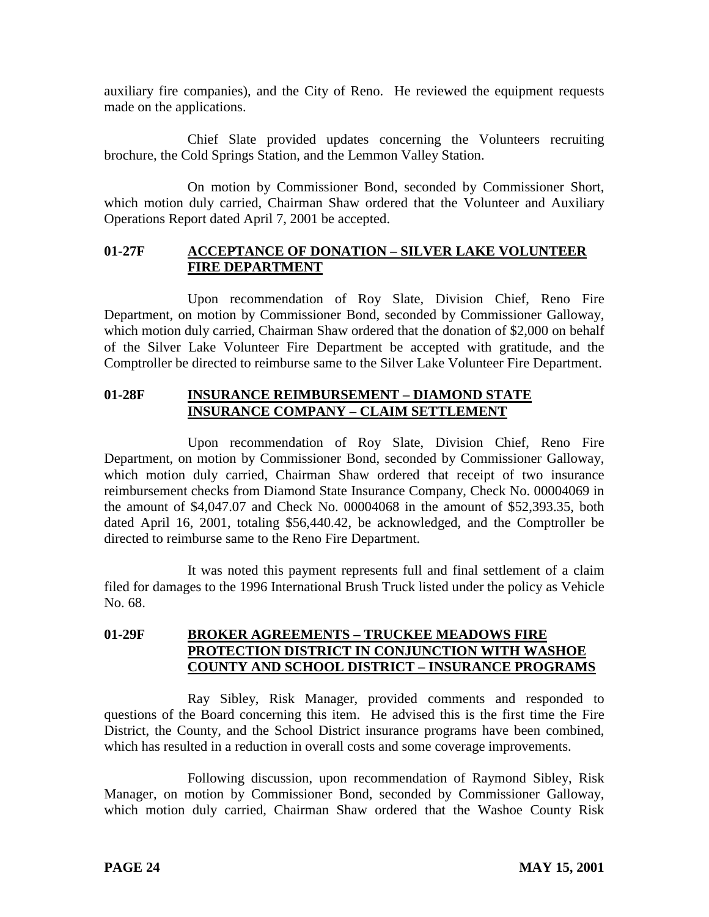auxiliary fire companies), and the City of Reno. He reviewed the equipment requests made on the applications.

Chief Slate provided updates concerning the Volunteers recruiting brochure, the Cold Springs Station, and the Lemmon Valley Station.

On motion by Commissioner Bond, seconded by Commissioner Short, which motion duly carried, Chairman Shaw ordered that the Volunteer and Auxiliary Operations Report dated April 7, 2001 be accepted.

## **01-27F ACCEPTANCE OF DONATION – SILVER LAKE VOLUNTEER FIRE DEPARTMENT**

Upon recommendation of Roy Slate, Division Chief, Reno Fire Department, on motion by Commissioner Bond, seconded by Commissioner Galloway, which motion duly carried, Chairman Shaw ordered that the donation of \$2,000 on behalf of the Silver Lake Volunteer Fire Department be accepted with gratitude, and the Comptroller be directed to reimburse same to the Silver Lake Volunteer Fire Department.

# **01-28F INSURANCE REIMBURSEMENT – DIAMOND STATE INSURANCE COMPANY – CLAIM SETTLEMENT**

Upon recommendation of Roy Slate, Division Chief, Reno Fire Department, on motion by Commissioner Bond, seconded by Commissioner Galloway, which motion duly carried, Chairman Shaw ordered that receipt of two insurance reimbursement checks from Diamond State Insurance Company, Check No. 00004069 in the amount of \$4,047.07 and Check No. 00004068 in the amount of \$52,393.35, both dated April 16, 2001, totaling \$56,440.42, be acknowledged, and the Comptroller be directed to reimburse same to the Reno Fire Department.

It was noted this payment represents full and final settlement of a claim filed for damages to the 1996 International Brush Truck listed under the policy as Vehicle No. 68.

# **01-29F BROKER AGREEMENTS – TRUCKEE MEADOWS FIRE PROTECTION DISTRICT IN CONJUNCTION WITH WASHOE COUNTY AND SCHOOL DISTRICT – INSURANCE PROGRAMS**

Ray Sibley, Risk Manager, provided comments and responded to questions of the Board concerning this item. He advised this is the first time the Fire District, the County, and the School District insurance programs have been combined, which has resulted in a reduction in overall costs and some coverage improvements.

Following discussion, upon recommendation of Raymond Sibley, Risk Manager, on motion by Commissioner Bond, seconded by Commissioner Galloway, which motion duly carried, Chairman Shaw ordered that the Washoe County Risk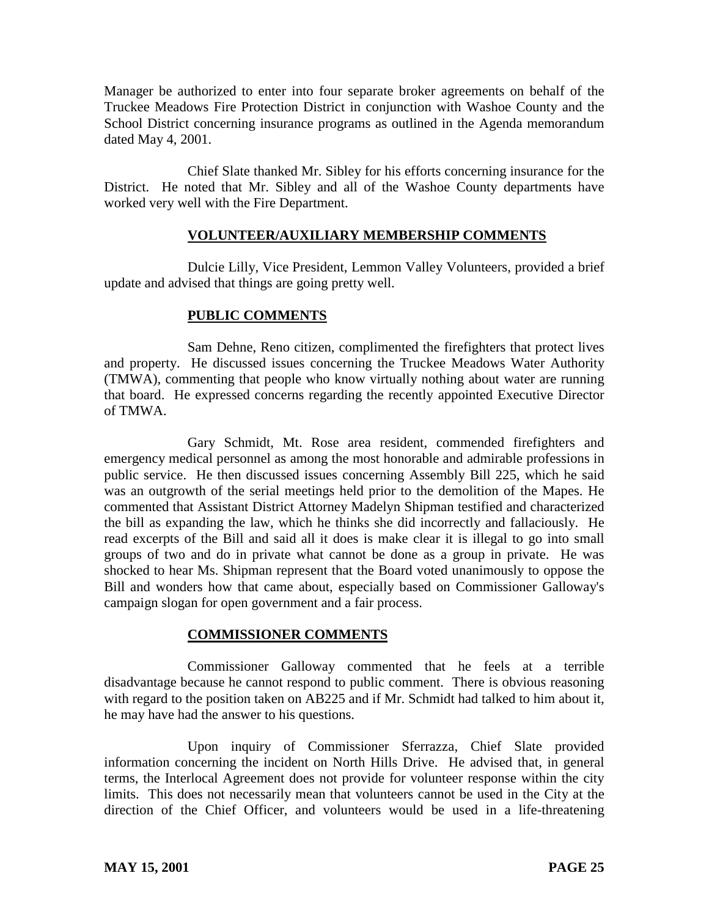Manager be authorized to enter into four separate broker agreements on behalf of the Truckee Meadows Fire Protection District in conjunction with Washoe County and the School District concerning insurance programs as outlined in the Agenda memorandum dated May 4, 2001.

Chief Slate thanked Mr. Sibley for his efforts concerning insurance for the District. He noted that Mr. Sibley and all of the Washoe County departments have worked very well with the Fire Department.

# **VOLUNTEER/AUXILIARY MEMBERSHIP COMMENTS**

Dulcie Lilly, Vice President, Lemmon Valley Volunteers, provided a brief update and advised that things are going pretty well.

# **PUBLIC COMMENTS**

Sam Dehne, Reno citizen, complimented the firefighters that protect lives and property. He discussed issues concerning the Truckee Meadows Water Authority (TMWA), commenting that people who know virtually nothing about water are running that board. He expressed concerns regarding the recently appointed Executive Director of TMWA.

Gary Schmidt, Mt. Rose area resident, commended firefighters and emergency medical personnel as among the most honorable and admirable professions in public service. He then discussed issues concerning Assembly Bill 225, which he said was an outgrowth of the serial meetings held prior to the demolition of the Mapes. He commented that Assistant District Attorney Madelyn Shipman testified and characterized the bill as expanding the law, which he thinks she did incorrectly and fallaciously. He read excerpts of the Bill and said all it does is make clear it is illegal to go into small groups of two and do in private what cannot be done as a group in private. He was shocked to hear Ms. Shipman represent that the Board voted unanimously to oppose the Bill and wonders how that came about, especially based on Commissioner Galloway's campaign slogan for open government and a fair process.

### **COMMISSIONER COMMENTS**

Commissioner Galloway commented that he feels at a terrible disadvantage because he cannot respond to public comment. There is obvious reasoning with regard to the position taken on AB225 and if Mr. Schmidt had talked to him about it, he may have had the answer to his questions.

Upon inquiry of Commissioner Sferrazza, Chief Slate provided information concerning the incident on North Hills Drive. He advised that, in general terms, the Interlocal Agreement does not provide for volunteer response within the city limits. This does not necessarily mean that volunteers cannot be used in the City at the direction of the Chief Officer, and volunteers would be used in a life-threatening